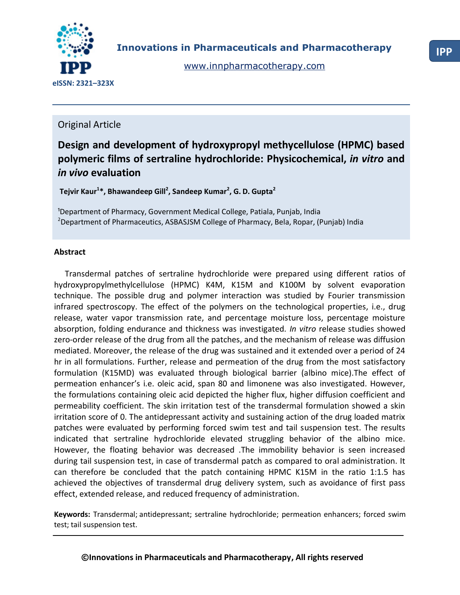

[www.innpharmacotherapy.com](http://www.innpharmacotherapy.com/)

# Original Article

# **Design and development of hydroxypropyl methycellulose (HPMC) based polymeric films of sertraline hydrochloride: Physicochemical,** *in vitro* **and**  *in vivo* **evaluation**

**Tejvir Kaur<sup>1</sup> \*, Bhawandeep Gill<sup>2</sup> , Sandeep Kumar<sup>2</sup> , G. D. Gupta<sup>2</sup>**

<sup>1</sup>Department of Pharmacy, Government Medical College, Patiala, Punjab, India <sup>2</sup>Department of Pharmaceutics, ASBASJSM College of Pharmacy, Bela, Ropar, (Punjab) India

# **Abstract**

Transdermal patches of sertraline hydrochloride were prepared using different ratios of hydroxypropylmethylcellulose (HPMC) K4M, K15M and K100M by solvent evaporation technique. The possible drug and polymer interaction was studied by Fourier transmission infrared spectroscopy. The effect of the polymers on the technological properties, i.e., drug release, water vapor transmission rate, and percentage moisture loss, percentage moisture absorption, folding endurance and thickness was investigated. *In vitro* release studies showed zero-order release of the drug from all the patches, and the mechanism of release was diffusion mediated. Moreover, the release of the drug was sustained and it extended over a period of 24 hr in all formulations. Further, release and permeation of the drug from the most satisfactory formulation (K15MD) was evaluated through biological barrier (albino mice).The effect of permeation enhancer's i.e. oleic acid, span 80 and limonene was also investigated. However, the formulations containing oleic acid depicted the higher flux, higher diffusion coefficient and permeability coefficient. The skin irritation test of the transdermal formulation showed a skin irritation score of 0. The antidepressant activity and sustaining action of the drug loaded matrix patches were evaluated by performing forced swim test and tail suspension test. The results indicated that sertraline hydrochloride elevated struggling behavior of the albino mice. However, the floating behavior was decreased .The immobility behavior is seen increased during tail suspension test, in case of transdermal patch as compared to oral administration. It can therefore be concluded that the patch containing HPMC K15M in the ratio 1:1.5 has achieved the objectives of transdermal drug delivery system, such as avoidance of first pass effect, extended release, and reduced frequency of administration.

**Keywords:** Transdermal; antidepressant; sertraline hydrochloride; permeation enhancers; forced swim test; tail suspension test.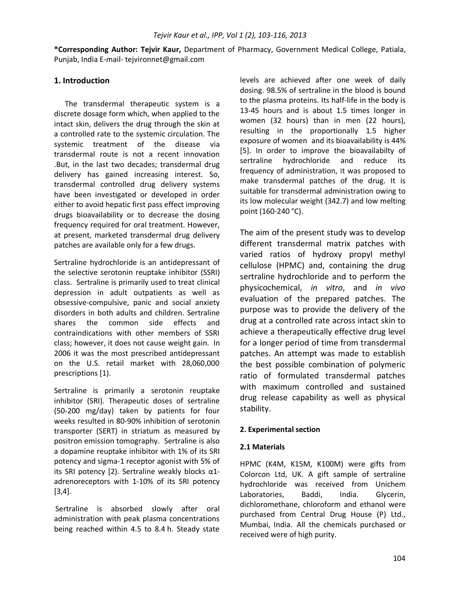**\*Corresponding Author: Tejvir Kaur,** Department of Pharmacy, Government Medical College, Patiala, Punjab, India E-mail- tejvironnet@gmail.com

## **1. Introduction**

The transdermal therapeutic system is a discrete dosage form which, when applied to the intact skin, delivers the drug through the skin at a controlled rate to the systemic circulation. The systemic treatment of the disease via transdermal route is not a recent innovation .But, in the last two decades; transdermal drug delivery has gained increasing interest. So, transdermal controlled drug delivery systems have been investigated or developed in order either to avoid hepatic first pass effect improving drugs bioavailability or to decrease the dosing frequency required for oral treatment. However, at present, marketed transdermal drug delivery patches are available only for a few drugs.

Sertraline hydrochloride is an [antidepressant](http://en.wikipedia.org/wiki/Antidepressant) of the [selective serotonin reuptake inhibitor](http://en.wikipedia.org/wiki/Selective_serotonin_reuptake_inhibitor) (SSRI) class. Sertraline is primarily used to treat [clinical](http://en.wikipedia.org/wiki/Clinical_depression)  [depression](http://en.wikipedia.org/wiki/Clinical_depression) in adult [outpatients](http://en.wikipedia.org/wiki/Outpatients) as well as [obsessive-compulsive,](http://en.wikipedia.org/wiki/Obsessive-compulsive_disorder) [panic](http://en.wikipedia.org/wiki/Panic_disorder) and [social anxiety](http://en.wikipedia.org/wiki/Social_anxiety_disorder)  [disorders](http://en.wikipedia.org/wiki/Social_anxiety_disorder) in both adults and children. Sertraline shares the common [side effects](http://en.wikipedia.org/wiki/Side_effects) and [contraindications](http://en.wikipedia.org/wiki/Contraindications) with other members of SSRI class; however, it does not cause [weight gain.](http://en.wikipedia.org/wiki/Weight_gain) In 2006 it was the most prescribed antidepressant on the U.S. retail market with 28,060,000 prescriptions [1).

Sertraline is primarily a [serotonin reuptake](http://en.wikipedia.org/wiki/Serotonin_reuptake_inhibitor)  [inhibitor](http://en.wikipedia.org/wiki/Serotonin_reuptake_inhibitor) (SRI). Therapeutic doses of sertraline (50-200 mg/day) taken by patients for four weeks resulted in 80-90% inhibition of [serotonin](http://en.wikipedia.org/wiki/Serotonin_transporter)  [transporter](http://en.wikipedia.org/wiki/Serotonin_transporter) (SERT) in [striatum](http://en.wikipedia.org/wiki/Striatum) as measured by [positron emission tomography.](http://en.wikipedia.org/wiki/Positron_emission_tomography) Sertraline is also a [dopamine reuptake inhibitor](http://en.wikipedia.org/wiki/Dopamine_reuptake_inhibitor) with 1% of its SRI potency and [sigma-1 receptor](http://en.wikipedia.org/wiki/Sigma-1_receptor) agonist with 5% of its SRI potency [2). Sertraline weakly blocks  $α1$ [adrenoreceptors](http://en.wikipedia.org/wiki/Alpha_blocker) with 1-10% of its SRI potency [3,4].

Sertraline is absorbed slowly after oral administration with peak plasma concentrations being reached within 4.5 to 8.4 h. Steady state levels are achieved after one week of daily dosing. 98.5% of sertraline in the blood is bound to the plasma proteins. Its half-life in the body is 13-45 hours and is about 1.5 times longer in women (32 hours) than in men (22 hours), resulting in the proportionally 1.5 higher exposure of women and its bioavailability is 44% [5]. In order to improve the bioavailabilty of sertraline hydrochloride and reduce its frequency of administration, it was proposed to make transdermal patches of the drug. It is suitable for transdermal administration owing to its low molecular weight (342.7) and low melting point (160-240 °C).

The aim of the present study was to develop different transdermal matrix patches with varied ratios of hydroxy propyl methyl cellulose (HPMC) and, containing the drug sertraline hydrochloride and to perform the physicochemical, *in vitro*, and *in vivo* evaluation of the prepared patches. The purpose was to provide the delivery of the drug at a controlled rate across intact skin to achieve a therapeutically effective drug level for a longer period of time from transdermal patches. An attempt was made to establish the best possible combination of polymeric ratio of formulated transdermal patches with maximum controlled and sustained drug release capability as well as physical stability.

#### **2. Experimental section**

#### **2.1 Materials**

HPMC (K4M, K15M, K100M) were gifts from Colorcon Ltd, UK. A gift sample of sertraline hydrochloride was received from Unichem Laboratories, Baddi, India. Glycerin, dichloromethane, chloroform and ethanol were purchased from Central Drug House (P) Ltd., Mumbai, India. All the chemicals purchased or received were of high purity.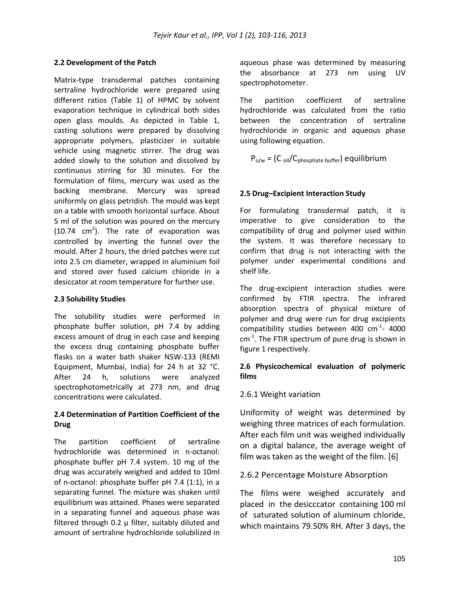## **2.2 Development of the Patch**

Matrix-type transdermal patches containing sertraline hydrochloride were prepared using different ratios (Table 1) of HPMC by solvent evaporation technique in cylindrical both sides open glass moulds. As depicted in Table 1, casting solutions were prepared by dissolving appropriate polymers, plasticizer in suitable vehicle using magnetic stirrer. The drug was added slowly to the solution and dissolved by continuous stirring for 30 minutes. For the formulation of films, mercury was used as the backing membrane. Mercury was spread uniformly on glass petridish. The mould was kept on a table with smooth horizontal surface. About 5 ml of the solution was poured on the mercury  $(10.74 \, \text{cm}^2)$ . The rate of evaporation was controlled by inverting the funnel over the mould. After 2 hours, the dried patches were cut into 2.5 cm diameter, wrapped in aluminium foil and stored over fused calcium chloride in a desiccator at room temperature for further use.

#### **2.3 Solubility Studies**

The solubility studies were performed in phosphate buffer solution, pH 7.4 by adding excess amount of drug in each case and keeping the excess drug containing phosphate buffer flasks on a water bath shaker NSW-133 (REMI Equipment, Mumbai, India) for 24 h at 32 °C. After 24 h, solutions were analyzed spectrophotometrically at 273 nm, and drug concentrations were calculated.

# **2.4 Determination of Partition Coefficient of the Drug**

The partition coefficient of sertraline hydrochloride was determined in n-octanol: phosphate buffer pH 7.4 system. 10 mg of the drug was accurately weighed and added to 10ml of n-octanol: phosphate buffer pH 7.4 (1:1), in a separating funnel. The mixture was shaken until equilibrium was attained. Phases were separated in a separating funnel and aqueous phase was filtered through 0.2 μ filter, suitably diluted and amount of sertraline hydrochloride solubilized in aqueous phase was determined by measuring the absorbance at 273 nm using UV spectrophotometer.

The partition coefficient of sertraline hydrochloride was calculated from the ratio between the concentration of sertraline hydrochloride in organic and aqueous phase using following equation.

 $P_{o/w} = (C_{oil}/C_{phosphate buffer})$  equilibrium

## **2.5 Drug–Excipient Interaction Study**

For formulating transdermal patch, it is imperative to give consideration to the compatibility of drug and polymer used within the system. It was therefore necessary to confirm that drug is not interacting with the polymer under experimental conditions and shelf life.

The drug-excipient interaction studies were confirmed by FTIR spectra. The infrared absorption spectra of physical mixture of polymer and drug were run for drug excipients compatibility studies between 400  $cm^{-1}$ - 4000  $cm<sup>-1</sup>$ . The FTIR spectrum of pure drug is shown in figure 1 respectively.

# **2.6 Physicochemical evaluation of polymeric films**

# 2.6.1 Weight variation

Uniformity of weight was determined by weighing three matrices of each formulation. After each film unit was weighed individually on a digital balance, the average weight of film was taken as the weight of the film. [6]

# 2.6.2 Percentage Moisture Absorption

The films were weighed accurately and placed in the desicccator containing 100 ml of saturated solution of aluminum chloride, which maintains 79.50% RH. After 3 days, the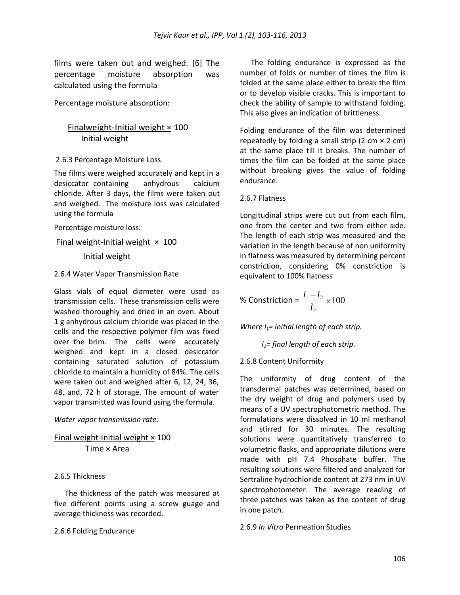films were taken out and weighed. [6] The percentage moisture absorption was calculated using the formula

Percentage moisture absorption:

# Finalweight-Initial weight  $\times$  100 Initial weight

## 2.6.3 Percentage Moisture Loss

The films were weighed accurately and kept in a desiccator containing anhydrous calcium chloride. After 3 days, the films were taken out and weighed. The moisture loss was calculated using the formula

Percentage moisture loss:

Final weight-Initial weight  $\times$  100

Initial weight

#### 2.6.4 Water Vapor Transmission Rate

Glass vials of equal diameter were used as transmission cells. These transmission cells were washed thoroughly and dried in an oven. About 1 g anhydrous calcium chloride was placed in the cells and the respective polymer film was fixed over the brim. The cells were accurately weighed and kept in a closed desiccator containing saturated solution of potassium chloride to maintain a humidity of 84%. The cells were taken out and weighed after 6, 12, 24, 36, 48, and, 72 h of storage. The amount of water vapor transmitted was found using the formula.

#### *Water vapor transmission rate:*

Final weight-Initial weight  $\times$  100 Time × Area

#### 2.6.5 Thickness

The thickness of the patch was measured at five different points using a screw guage and average thickness was recorded.

#### 2.6.6 Folding Endurance

The folding endurance is expressed as the number of folds or number of times the film is folded at the same place either to break the film or to develop visible cracks. This is important to check the ability of sample to withstand folding. This also gives an indication of brittleness.

Folding endurance of the film was determined repeatedly by folding a small strip (2 cm  $\times$  2 cm) at the same place till it breaks. The number of times the film can be folded at the same place without breaking gives the value of folding endurance.

## 2.6.7 Flatness

Longitudinal strips were cut out from each film, one from the center and two from either side. The length of each strip was measured and the variation in the length because of non uniformity in flatness was measured by determining percent constriction, considering 0% constriction is equivalent to 100% flatness

% Construction = 
$$
\frac{l_1 - l_2}{l_2} \times 100
$$

*Where l1= initial length of each strip.*

*l2= final length of each strip.* 

# 2.6.8 Content Uniformity

The uniformity of drug content of the transdermal patches was determined, based on the dry weight of drug and polymers used by means of a UV spectrophotometric method. The formulations were dissolved in 10 ml methanol and stirred for 30 minutes. The resulting solutions were quantitatively transferred to volumetric flasks, and appropriate dilutions were made with pH 7.4 Phosphate buffer. The resulting solutions were filtered and analyzed for Sertraline hydrochloride content at 273 nm in UV spectrophotometer. The average reading of three patches was taken as the content of drug in one patch.

2.6.9 *In Vitro* Permeation Studies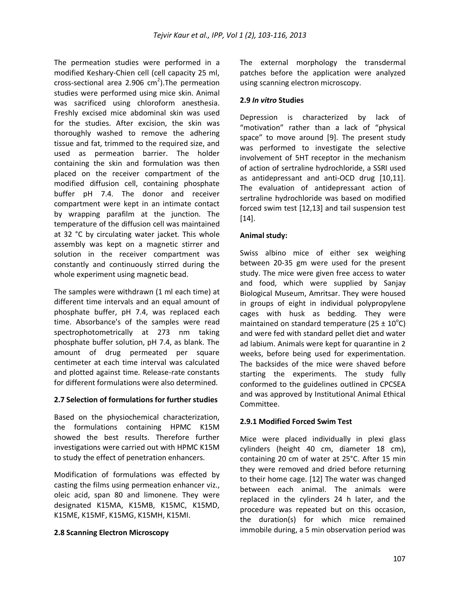The permeation studies were performed in a modified Keshary-Chien cell (cell capacity 25 ml, cross-sectional area 2.906  $cm<sup>2</sup>$ ). The permeation studies were performed using mice skin. Animal was sacrificed using chloroform anesthesia. Freshly excised mice abdominal skin was used for the studies. After excision, the skin was thoroughly washed to remove the adhering tissue and fat, trimmed to the required size, and used as permeation barrier. The holder containing the skin and formulation was then placed on the receiver compartment of the modified diffusion cell, containing phosphate buffer pH 7.4. The donor and receiver compartment were kept in an intimate contact by wrapping parafilm at the junction. The temperature of the diffusion cell was maintained at 32 °C by circulating water jacket. This whole assembly was kept on a magnetic stirrer and solution in the receiver compartment was constantly and continuously stirred during the whole experiment using magnetic bead.

The samples were withdrawn (1 ml each time) at different time intervals and an equal amount of phosphate buffer, pH 7.4, was replaced each time. Absorbance's of the samples were read spectrophotometrically at 273 nm taking phosphate buffer solution, pH 7.4, as blank. The amount of drug permeated per square centimeter at each time interval was calculated and plotted against time. Release-rate constants for different formulations were also determined.

# **2.7 Selection of formulations for further studies**

Based on the physiochemical characterization, the formulations containing HPMC K15M showed the best results. Therefore further investigations were carried out with HPMC K15M to study the effect of penetration enhancers.

Modification of formulations was effected by casting the films using permeation enhancer viz., oleic acid, span 80 and limonene. They were designated K15MA, K15MB, K15MC, K15MD, K15ME, K15MF, K15MG, K15MH, K15MI.

# **2.8 Scanning Electron Microscopy**

The external morphology the transdermal patches before the application were analyzed using scanning electron microscopy.

# **2.9** *In vitro* **Studies**

Depression is characterized by lack of "motivation" rather than a lack of "physical space" to move around [9]. The present study was performed to investigate the selective involvement of 5HT receptor in the mechanism of action of sertraline hydrochloride, a SSRI used as antidepressant and anti-OCD drug [10,11]. The evaluation of antidepressant action of sertraline hydrochloride was based on modified forced swim test [12,13] and tail suspension test [14].

# **Animal study:**

Swiss albino mice of either sex weighing between 20-35 gm were used for the present study. The mice were given free access to water and food, which were supplied by Sanjay Biological Museum, Amritsar. They were housed in groups of eight in individual polypropylene cages with husk as bedding. They were maintained on standard temperature (25  $\pm$  10<sup>o</sup>C) and were fed with standard pellet diet and water ad labium. Animals were kept for quarantine in 2 weeks, before being used for experimentation. The backsides of the mice were shaved before starting the experiments. The study fully conformed to the guidelines outlined in CPCSEA and was approved by Institutional Animal Ethical Committee.

# **2.9.1 Modified Forced Swim Test**

Mice were placed individually in plexi glass cylinders (height 40 cm, diameter 18 cm), containing 20 cm of water at 25°C. After 15 min they were removed and dried before returning to their home cage. [12] The water was changed between each animal. The animals were replaced in the cylinders 24 h later, and the procedure was repeated but on this occasion, the duration(s) for which mice remained immobile during, a 5 min observation period was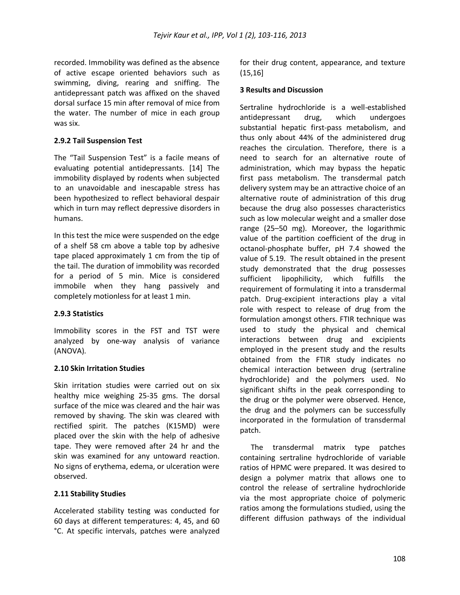recorded. Immobility was defined as the absence of active escape oriented behaviors such as swimming, diving, rearing and sniffing. The antidepressant patch was affixed on the shaved dorsal surface 15 min after removal of mice from the water. The number of mice in each group was six.

#### **2.9.2 Tail Suspension Test**

The "Tail Suspension Test" is a facile means of evaluating potential antidepressants. [14] The immobility displayed by rodents when subjected to an unavoidable and inescapable stress has been hypothesized to reflect behavioral despair which in turn may reflect depressive disorders in humans.

In this test the mice were suspended on the edge of a shelf 58 cm above a table top by adhesive tape placed approximately 1 cm from the tip of the tail. The duration of immobility was recorded for a period of 5 min. Mice is considered immobile when they hang passively and completely motionless for at least 1 min.

#### **2.9.3 Statistics**

Immobility scores in the FST and TST were analyzed by one-way analysis of variance (ANOVA).

#### **2.10 Skin Irritation Studies**

Skin irritation studies were carried out on six healthy mice weighing 25-35 gms. The dorsal surface of the mice was cleared and the hair was removed by shaving. The skin was cleared with rectified spirit. The patches (K15MD) were placed over the skin with the help of adhesive tape. They were removed after 24 hr and the skin was examined for any untoward reaction. No signs of erythema, edema, or ulceration were observed.

#### **2.11 Stability Studies**

Accelerated stability testing was conducted for 60 days at different temperatures: 4, 45, and 60 °C. At specific intervals, patches were analyzed for their drug content, appearance, and texture (15,16]

#### **3 Results and Discussion**

Sertraline hydrochloride is a well-established antidepressant drug, which undergoes substantial hepatic first-pass metabolism, and thus only about 44% of the administered drug reaches the circulation. Therefore, there is a need to search for an alternative route of administration, which may bypass the hepatic first pass metabolism. The transdermal patch delivery system may be an attractive choice of an alternative route of administration of this drug because the drug also possesses characteristics such as low molecular weight and a smaller dose range (25–50 mg). Moreover, the logarithmic value of the partition coefficient of the drug in octanol-phosphate buffer, pH 7.4 showed the value of 5.19. The result obtained in the present study demonstrated that the drug possesses sufficient lipophilicity, which fulfills the requirement of formulating it into a transdermal patch. Drug-excipient interactions play a vital role with respect to release of drug from the formulation amongst others. FTIR technique was used to study the physical and chemical interactions between drug and excipients employed in the present study and the results obtained from the FTIR study indicates no chemical interaction between drug (sertraline hydrochloride) and the polymers used. No significant shifts in the peak corresponding to the drug or the polymer were observed. Hence, the drug and the polymers can be successfully incorporated in the formulation of transdermal patch.

The transdermal matrix type patches containing sertraline hydrochloride of variable ratios of HPMC were prepared. It was desired to design a polymer matrix that allows one to control the release of sertraline hydrochloride via the most appropriate choice of polymeric ratios among the formulations studied, using the different diffusion pathways of the individual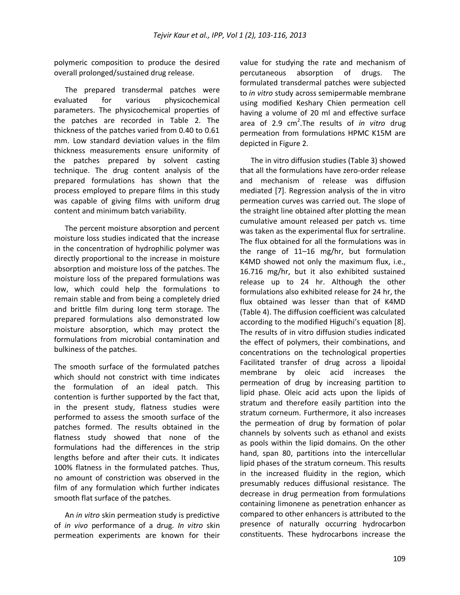polymeric composition to produce the desired overall prolonged/sustained drug release.

The prepared transdermal patches were evaluated for various physicochemical parameters. The physicochemical properties of the patches are recorded in Table 2. The thickness of the patches varied from 0.40 to 0.61 mm. Low standard deviation values in the film thickness measurements ensure uniformity of the patches prepared by solvent casting technique. The drug content analysis of the prepared formulations has shown that the process employed to prepare films in this study was capable of giving films with uniform drug content and minimum batch variability.

The percent moisture absorption and percent moisture loss studies indicated that the increase in the concentration of hydrophilic polymer was directly proportional to the increase in moisture absorption and moisture loss of the patches. The moisture loss of the prepared formulations was low, which could help the formulations to remain stable and from being a completely dried and brittle film during long term storage. The prepared formulations also demonstrated low moisture absorption, which may protect the formulations from microbial contamination and bulkiness of the patches.

The smooth surface of the formulated patches which should not constrict with time indicates the formulation of an ideal patch. This contention is further supported by the fact that, in the present study, flatness studies were performed to assess the smooth surface of the patches formed. The results obtained in the flatness study showed that none of the formulations had the differences in the strip lengths before and after their cuts. It indicates 100% flatness in the formulated patches. Thus, no amount of constriction was observed in the film of any formulation which further indicates smooth flat surface of the patches.

An *in vitro* skin permeation study is predictive of *in vivo* performance of a drug. *In vitro* skin permeation experiments are known for their value for studying the rate and mechanism of percutaneous absorption of drugs. The formulated transdermal patches were subjected to *in vitro* study across semipermable membrane using modified Keshary Chien permeation cell having a volume of 20 ml and effective surface area of 2.9 cm<sup>2</sup>.The results of *in vitro* drug permeation from formulations HPMC K15M are depicted in Figure 2.

The in vitro diffusion studies (Table 3) showed that all the formulations have zero-order release and mechanism of release was diffusion mediated [7]. Regression analysis of the in vitro permeation curves was carried out. The slope of the straight line obtained after plotting the mean cumulative amount released per patch vs. time was taken as the experimental flux for sertraline. The flux obtained for all the formulations was in the range of 11–16 mg/hr, but formulation K4MD showed not only the maximum flux, i.e., 16.716 mg/hr, but it also exhibited sustained release up to 24 hr. Although the other formulations also exhibited release for 24 hr, the flux obtained was lesser than that of K4MD (Table 4). The diffusion coefficient was calculated according to the modified Higuchi's equation [8]. The results of in vitro diffusion studies indicated the effect of polymers, their combinations, and concentrations on the technological properties Facilitated transfer of drug across a lipoidal membrane by oleic acid increases the permeation of drug by increasing partition to lipid phase. Oleic acid acts upon the lipids of stratum and therefore easily partition into the stratum corneum. Furthermore, it also increases the permeation of drug by formation of polar channels by solvents such as ethanol and exists as pools within the lipid domains. On the other hand, span 80, partitions into the intercellular lipid phases of the stratum corneum. This results in the increased fluidity in the region, which presumably reduces diffusional resistance. The decrease in drug permeation from formulations containing limonene as penetration enhancer as compared to other enhancers is attributed to the presence of naturally occurring hydrocarbon constituents. These hydrocarbons increase the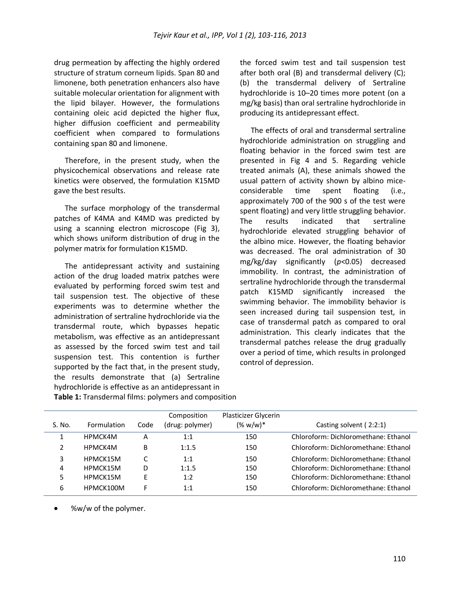drug permeation by affecting the highly ordered structure of stratum corneum lipids. Span 80 and limonene, both penetration enhancers also have suitable molecular orientation for alignment with the lipid bilayer. However, the formulations containing oleic acid depicted the higher flux, higher diffusion coefficient and permeability coefficient when compared to formulations containing span 80 and limonene.

Therefore, in the present study, when the physicochemical observations and release rate kinetics were observed, the formulation K15MD gave the best results.

The surface morphology of the transdermal patches of K4MA and K4MD was predicted by using a scanning electron microscope (Fig 3), which shows uniform distribution of drug in the polymer matrix for formulation K15MD.

The antidepressant activity and sustaining action of the drug loaded matrix patches were evaluated by performing forced swim test and tail suspension test. The objective of these experiments was to determine whether the administration of sertraline hydrochloride via the transdermal route, which bypasses hepatic metabolism, was effective as an antidepressant as assessed by the forced swim test and tail suspension test. This contention is further supported by the fact that, in the present study, the results demonstrate that (a) Sertraline hydrochloride is effective as an antidepressant in **Table 1:** Transdermal films: polymers and composition

the forced swim test and tail suspension test after both oral (B) and transdermal delivery (C); (b) the transdermal delivery of Sertraline hydrochloride is 10–20 times more potent (on a mg/kg basis) than oral sertraline hydrochloride in producing its antidepressant effect.

The effects of oral and transdermal sertraline hydrochloride administration on struggling and floating behavior in the forced swim test are presented in Fig 4 and 5. Regarding vehicle treated animals (A), these animals showed the usual pattern of activity shown by albino miceconsiderable time spent floating (i.e., approximately 700 of the 900 s of the test were spent floating) and very little struggling behavior. The results indicated that sertraline hydrochloride elevated struggling behavior of the albino mice. However, the floating behavior was decreased. The oral administration of 30 mg/kg/day significantly (*p*<0.05) decreased immobility. In contrast, the administration of sertraline hydrochloride through the transdermal patch K15MD significantly increased the swimming behavior. The immobility behavior is seen increased during tail suspension test, in case of transdermal patch as compared to oral administration. This clearly indicates that the transdermal patches release the drug gradually over a period of time, which results in prolonged control of depression.

| S. No. | Formulation | Code | Composition<br>(drug: polymer) | Plasticizer Glycerin<br>$(% w/w)*$ | Casting solvent (2:2:1)              |
|--------|-------------|------|--------------------------------|------------------------------------|--------------------------------------|
|        | HPMCK4M     | А    | 1:1                            | 150                                | Chloroform: Dichloromethane: Ethanol |
|        | HPMCK4M     | B    | 1:1.5                          | 150                                | Chloroform: Dichloromethane: Ethanol |
| 3      | HPMCK15M    | C    | 1:1                            | 150                                | Chloroform: Dichloromethane: Ethanol |
| 4      | HPMCK15M    | D    | 1:1.5                          | 150                                | Chloroform: Dichloromethane: Ethanol |
| 5      | HPMCK15M    | E    | 1:2                            | 150                                | Chloroform: Dichloromethane: Ethanol |
| 6      | HPMCK100M   |      | 1:1                            | 150                                | Chloroform: Dichloromethane: Ethanol |

%w/w of the polymer.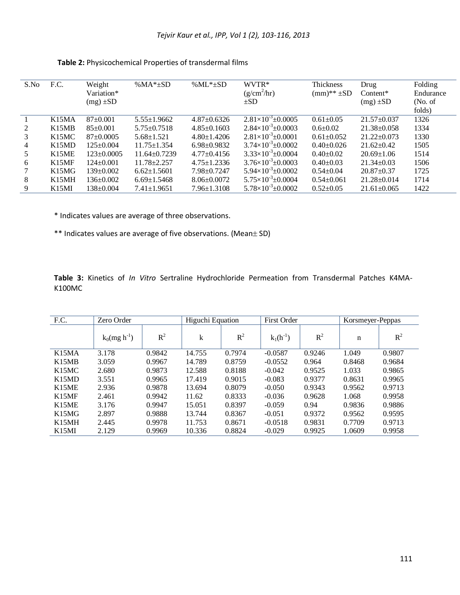| S.No | F.C.  | Weight           | % $MA*_{\pm}SD$    | % $ML*_{\pm}SD$   | WVTR*                            | Thickness          | Drug              | Folding   |
|------|-------|------------------|--------------------|-------------------|----------------------------------|--------------------|-------------------|-----------|
|      |       | Variation*       |                    |                   | (g/cm <sup>2</sup> /hr)          | $(mm)$ ** $\pm SD$ | $Content*$        | Endurance |
|      |       | $(mg) \pm SD$    |                    |                   | $\pm SD$                         |                    | $(mg) \pm SD$     | (No. of)  |
|      |       |                  |                    |                   |                                  |                    |                   | folds)    |
|      | K15MA | $87+0.001$       | $5.55 \pm 1.9662$  | $4.87 \pm 0.6326$ | $2.81\times10^{-3}$ + 0.0005     | $0.61 \pm 0.05$    | $21.57 \pm 0.037$ | 1326      |
| 2    | K15MB | $85+0.001$       | $5.75 \pm 0.7518$  | $4.85 \pm 0.1603$ | $2.84\times10^{-3}$ ± 0.0003     | $0.6 \pm 0.02$     | $21.38 \pm 0.058$ | 1334      |
| 3    | K15MC | $87 \pm 0.0005$  | $5.68 \pm 1.521$   | $4.80 \pm 1.4206$ | $2.81\times10^{-3}$ ± 0.0001     | $0.61 \pm 0.052$   | $21.22 \pm 0.073$ | 1330      |
| 4    | K15MD | $125 \pm 0.004$  | $11.75 \pm 1.354$  | $6.98 \pm 0.9832$ | $3.74\times10^{-3}$ ± 0.0002     | $0.40+0.026$       | $21.62 \pm 0.42$  | 1505      |
| 5    | K15ME | $123 \pm 0.0005$ | $11.64 \pm 0.7239$ | $4.77 \pm 0.4156$ | $3.33\times10^{-3}$ ± 0.0004     | $0.40+0.02$        | $20.69 \pm 1.06$  | 1514      |
| 6    | K15MF | $124 \pm 0.001$  | $11.78 + 2.257$    | $4.75 \pm 1.2336$ | $3.76\times10^{-3}$ ± 0.0003     | $0.40+0.03$        | $21.34 \pm 0.03$  | 1506      |
|      | K15MG | $139+0.002$      | $6.62 \pm 1.5601$  | $7.98 \pm 0.7247$ | $5.94\times10^{-3}$ ± 0.0002     | $0.54 \pm 0.04$    | $20.87 \pm 0.37$  | 1725      |
| 8    | K15MH | $136 \pm 0.002$  | $6.69 \pm 1.5468$  | $8.06 \pm 0.0072$ | $5.75 \times 10^{-3} \pm 0.0004$ | $0.54 \pm 0.061$   | $21.28 \pm 0.014$ | 1714      |
| 9    | K15MI | $138 \pm 0.004$  | $7.41 \pm 1.9651$  | $7.96 \pm 1.3108$ | $5.78\times10^{-3}$ ± 0.0002     | $0.52+0.05$        | $21.61 \pm 0.065$ | 1422      |

**Table 2:** Physicochemical Properties of transdermal films

\* Indicates values are average of three observations.

\*\* Indicates values are average of five observations. (Mean ± SD)

**Table 3:** Kinetics of *In Vitro* Sertraline Hydrochloride Permeation from Transdermal Patches K4MA-K100MC

| F.C.                           | Zero Order                  |        | Higuchi Equation |        | First Order   |        | Korsmeyer-Peppas |        |
|--------------------------------|-----------------------------|--------|------------------|--------|---------------|--------|------------------|--------|
|                                | $k_0$ (mg h <sup>-1</sup> ) | $R^2$  | k                | $R^2$  | $k_1(h^{-1})$ | $R^2$  | n                | $R^2$  |
| K <sub>15</sub> M <sub>A</sub> | 3.178                       | 0.9842 | 14.755           | 0.7974 | $-0.0587$     | 0.9246 | 1.049            | 0.9807 |
| K15MB                          | 3.059                       | 0.9967 | 14.789           | 0.8759 | $-0.0552$     | 0.964  | 0.8468           | 0.9684 |
| K15MC                          | 2.680                       | 0.9873 | 12.588           | 0.8188 | $-0.042$      | 0.9525 | 1.033            | 0.9865 |
| K15MD                          | 3.551                       | 0.9965 | 17.419           | 0.9015 | $-0.083$      | 0.9377 | 0.8631           | 0.9965 |
| K15ME                          | 2.936                       | 0.9878 | 13.694           | 0.8079 | $-0.050$      | 0.9343 | 0.9562           | 0.9713 |
| K15MF                          | 2.461                       | 0.9942 | 11.62            | 0.8333 | $-0.036$      | 0.9628 | 1.068            | 0.9958 |
| K15ME                          | 3.176                       | 0.9947 | 15.051           | 0.8397 | $-0.059$      | 0.94   | 0.9836           | 0.9886 |
| K15MG                          | 2.897                       | 0.9888 | 13.744           | 0.8367 | $-0.051$      | 0.9372 | 0.9562           | 0.9595 |
| K15MH                          | 2.445                       | 0.9978 | 11.753           | 0.8671 | $-0.0518$     | 0.9831 | 0.7709           | 0.9713 |
| K15MI                          | 2.129                       | 0.9969 | 10.336           | 0.8824 | $-0.029$      | 0.9925 | 1.0609           | 0.9958 |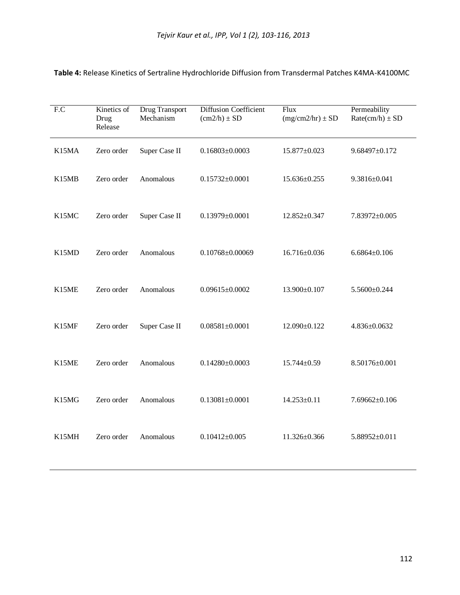| F.C   | Kinetics of<br>Drug<br>Release | <b>Drug Transport</b><br>Mechanism | <b>Diffusion Coefficient</b><br>$(cm2/h) \pm SD$ | Flux<br>$(mg/cm2/hr) \pm SD$ | Permeability<br>$Rate(cm/h) \pm SD$ |
|-------|--------------------------------|------------------------------------|--------------------------------------------------|------------------------------|-------------------------------------|
| K15MA | Zero order                     | Super Case II                      | $0.16803 \pm 0.0003$                             | 15.877±0.023                 | $9.68497 \pm 0.172$                 |
| K15MB | Zero order                     | Anomalous                          | $0.15732 \pm 0.0001$                             | 15.636±0.255                 | 9.3816±0.041                        |
| K15MC | Zero order                     | Super Case II                      | $0.13979 \pm 0.0001$                             | 12.852±0.347                 | 7.83972±0.005                       |
| K15MD | Zero order                     | Anomalous                          | $0.10768 \pm 0.00069$                            | 16.716±0.036                 | $6.6864\pm0.106$                    |
| K15ME | Zero order                     | Anomalous                          | $0.09615 \pm 0.0002$                             | 13.900±0.107                 | 5.5600±0.244                        |
| K15MF | Zero order                     | Super Case II                      | $0.08581 \pm 0.0001$                             | 12.090±0.122                 | $4.836 \pm 0.0632$                  |
| K15ME | Zero order                     | Anomalous                          | $0.14280 \pm 0.0003$                             | 15.744±0.59                  | 8.50176±0.001                       |
| K15MG | Zero order                     | Anomalous                          | $0.13081 \pm 0.0001$                             | $14.253 \pm 0.11$            | $7.69662 \pm 0.106$                 |
| K15MH | Zero order                     | Anomalous                          | $0.10412 \pm 0.005$                              | 11.326±0.366                 | 5.88952±0.011                       |

**Table 4:** Release Kinetics of Sertraline Hydrochloride Diffusion from Transdermal Patches K4MA-K4100MC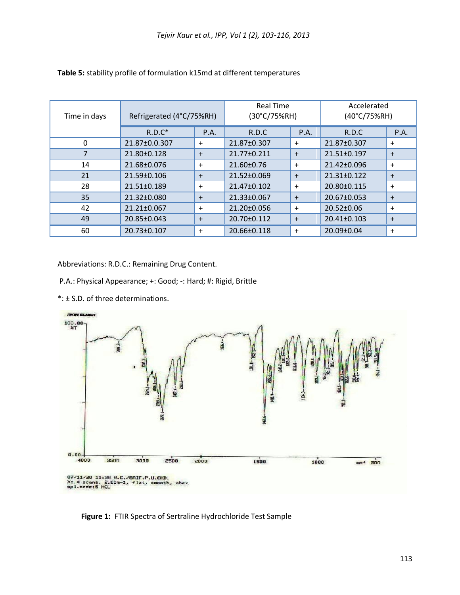| Time in days | Refrigerated (4°C/75%RH) | <b>Real Time</b><br>(30°C/75%RH) |                   | Accelerated<br>(40°C/75%RH) |                   |             |
|--------------|--------------------------|----------------------------------|-------------------|-----------------------------|-------------------|-------------|
|              | $R.D.C^*$                | P.A.                             | R.D.C             | P.A.                        | R.D.C             | <b>P.A.</b> |
| $\Omega$     | 21.87±0.0.307            | $\ddot{}$                        | 21.87±0.307       | $\ddot{}$                   | 21.87±0.307       | $\ddot{}$   |
|              | 21.80±0.128              | $+$                              | 21.77±0.211       | $+$                         | 21.51±0.197       | $+$         |
| 14           | 21.68±0.076              | $\ddot{}$                        | 21.60±0.76        | $\ddot{}$                   | 21.42±0.096       | $\ddot{}$   |
| 21           | $21.59 \pm 0.106$        | $+$                              | $21.52 \pm 0.069$ | $+$                         | $21.31 \pm 0.122$ | $+$         |
| 28           | $21.51 \pm 0.189$        | $+$                              | $21.47 \pm 0.102$ | $\ddot{}$                   | 20.80±0.115       | $\ddot{}$   |
| 35           | $21.32 \pm 0.080$        | $+$                              | 21.33±0.067       | $+$                         | 20.67±0.053       | $+$         |
| 42           | $21.21 \pm 0.067$        | $\ddot{}$                        | $21.20 \pm 0.056$ | $\ddot{}$                   | $20.52 \pm 0.06$  | $+$         |
| 49           | 20.85±0.043              | $+$                              | 20.70±0.112       | $+$                         | 20.41±0.103       | $+$         |
| 60           | 20.73±0.107              | $\ddot{}$                        | 20.66±0.118       | $\ddot{}$                   | 20.09±0.04        | $\ddot{}$   |

## **Table 5:** stability profile of formulation k15md at different temperatures

Abbreviations: R.D.C.: Remaining Drug Content.

- P.A.: Physical Appearance; +: Good; -: Hard; #: Rigid, Brittle
- \*: ± S.D. of three determinations.



**Figure 1:** FTIR Spectra of Sertraline Hydrochloride Test Sample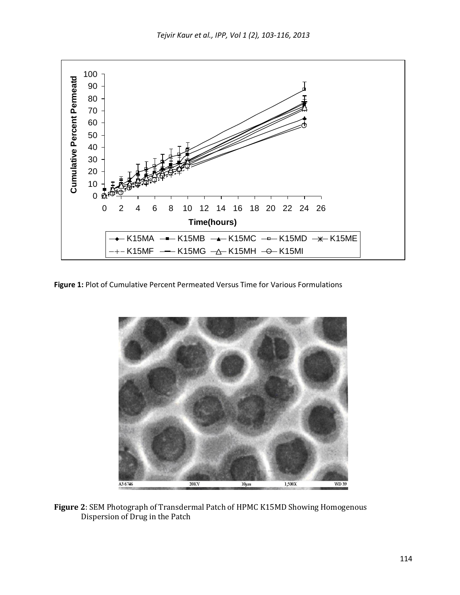

**Figure 1:** Plot of Cumulative Percent Permeated Versus Time for Various Formulations



**Figure 2**: SEM Photograph of Transdermal Patch of HPMC K15MD Showing Homogenous Dispersion of Drug in the Patch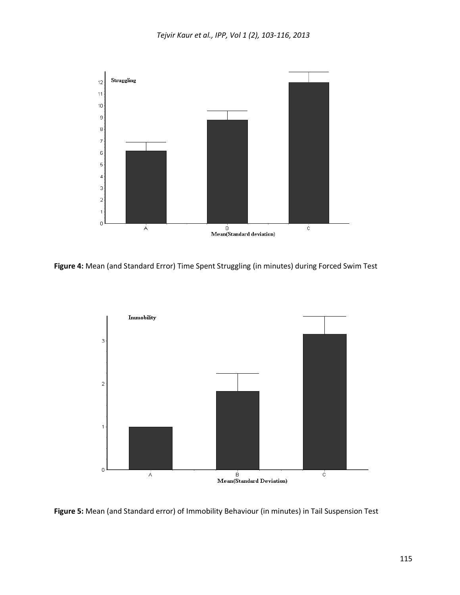

**Figure 4:** Mean (and Standard Error) Time Spent Struggling (in minutes) during Forced Swim Test